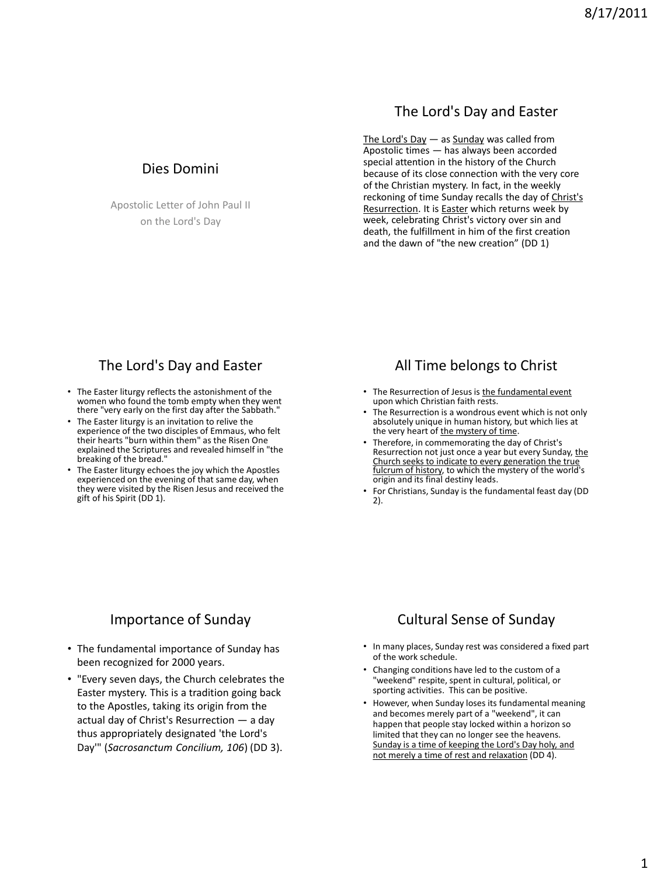### The Lord's Day and Easter

The Lord's Day  $-$  as Sunday was called from Apostolic times — has always been accorded special attention in the history of the Church because of its close connection with the very core of the Christian mystery. In fact, in the weekly reckoning of time Sunday recalls the day of Christ's Resurrection. It is **Easter** which returns week by week, celebrating Christ's victory over sin and death, the fulfillment in him of the first creation and the dawn of "the new creation" (DD 1)

Dies Domini

Apostolic Letter of John Paul II on the Lord's Day

## The Lord's Day and Easter

- The Easter liturgy reflects the astonishment of the women who found the tomb empty when they went there "very early on the first day after the Sabbath."
- The Easter liturgy is an invitation to relive the experience of the two disciples of Emmaus, who felt their hearts "burn within them" as the Risen One explained the Scriptures and revealed himself in "the breaking of the bread."
- The Easter liturgy echoes the joy which the Apostles experienced on the evening of that same day, when they were visited by the Risen Jesus and received the gift of his Spirit (DD 1).

# All Time belongs to Christ

- The Resurrection of Jesus is the fundamental event upon which Christian faith rests.
- The Resurrection is a wondrous event which is not only absolutely unique in human history, but which lies at the very heart of the mystery of time.
- Therefore, in commemorating the day of Christ's Resurrection not just once a year but every Sunday, the Church seeks to indicate to every generation the true fulcrum of history, to which the mystery of the world's origin and its final destiny leads.
- For Christians, Sunday is the fundamental feast day (DD 2).

# Importance of Sunday

- The fundamental importance of Sunday has been recognized for 2000 years.
- "Every seven days, the Church celebrates the Easter mystery. This is a tradition going back to the Apostles, taking its origin from the actual day of Christ's Resurrection — a day thus appropriately designated 'the Lord's Day'" (*Sacrosanctum Concilium, 106*) (DD 3).

# Cultural Sense of Sunday

- In many places, Sunday rest was considered a fixed part of the work schedule.
- Changing conditions have led to the custom of a "weekend" respite, spent in cultural, political, or sporting activities. This can be positive.
- However, when Sunday loses its fundamental meaning and becomes merely part of a "weekend", it can happen that people stay locked within a horizon so limited that they can no longer see the heavens. Sunday is a time of keeping the Lord's Day holy, and not merely a time of rest and relaxation (DD 4).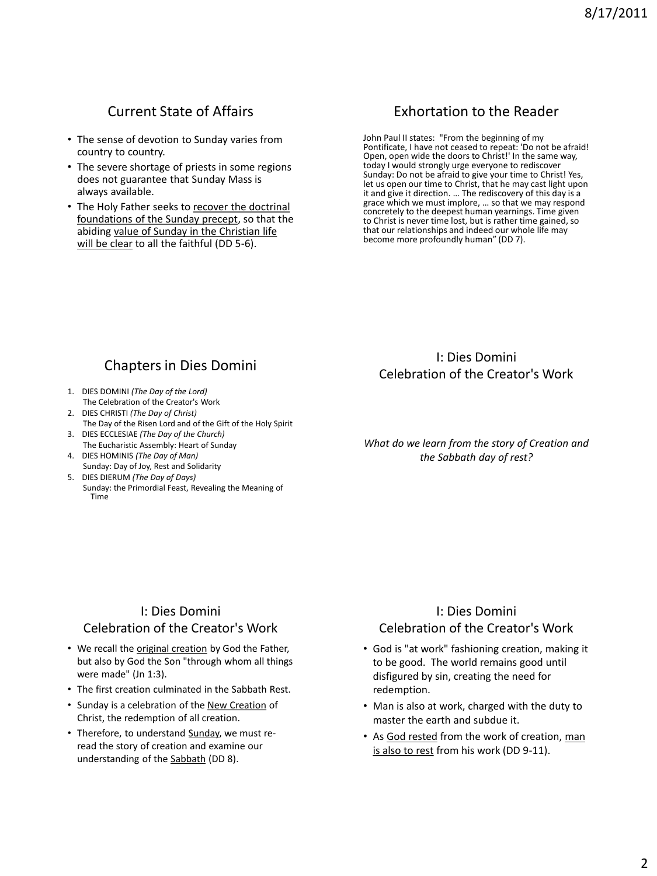# Current State of Affairs

- The sense of devotion to Sunday varies from country to country.
- The severe shortage of priests in some regions does not guarantee that Sunday Mass is always available.
- The Holy Father seeks to recover the doctrinal foundations of the Sunday precept, so that the abiding value of Sunday in the Christian life will be clear to all the faithful (DD 5-6).

# Exhortation to the Reader

John Paul II states: "From the beginning of my Pontificate, I have not ceased to repeat: 'Do not be afraid! Open, open wide the doors to Christ!' In the same way, today I would strongly urge everyone to rediscover Sunday: Do not be afraid to give your time to Christ! Yes, let us open our time to Christ, that he may cast light upon it and give it direction. … The rediscovery of this day is a grace which we must implore, … so that we may respond concretely to the deepest human yearnings. Time given to Christ is never time lost, but is rather time gained, so that our relationships and indeed our whole life may become more profoundly human" (DD 7).

# Chapters in Dies Domini

- 1. DIES DOMINI *(The Day of the Lord)* The Celebration of the Creator's Work
- 2. DIES CHRISTI *(The Day of Christ)* The Day of the Risen Lord and of the Gift of the Holy Spirit
- 3. DIES ECCLESIAE *(The Day of the Church)*
- The Eucharistic Assembly: Heart of Sunday 4. DIES HOMINIS *(The Day of Man)*
- Sunday: Day of Joy, Rest and Solidarity 5. DIES DIERUM *(The Day of Days)*
- Sunday: the Primordial Feast, Revealing the Meaning of Time

### I: Dies Domini Celebration of the Creator's Work

*What do we learn from the story of Creation and the Sabbath day of rest?*

### I: Dies Domini Celebration of the Creator's Work

- We recall the original creation by God the Father, but also by God the Son "through whom all things were made" (Jn 1:3).
- The first creation culminated in the Sabbath Rest.
- Sunday is a celebration of the New Creation of Christ, the redemption of all creation.
- Therefore, to understand Sunday, we must reread the story of creation and examine our understanding of the Sabbath (DD 8).

### I: Dies Domini Celebration of the Creator's Work

- God is "at work" fashioning creation, making it to be good. The world remains good until disfigured by sin, creating the need for redemption.
- Man is also at work, charged with the duty to master the earth and subdue it.
- As God rested from the work of creation, man is also to rest from his work (DD 9-11).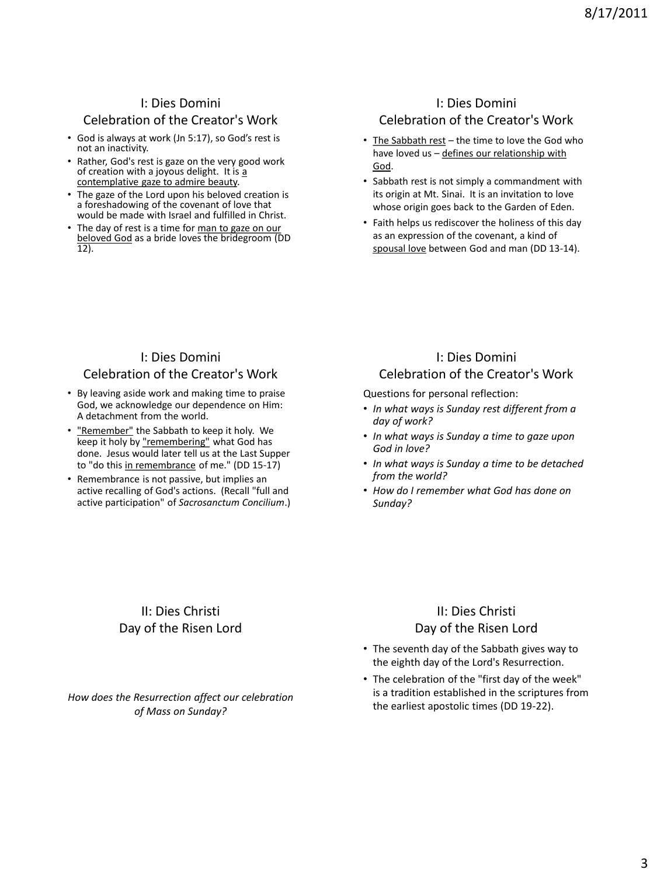### I: Dies Domini

### Celebration of the Creator's Work

- God is always at work (Jn 5:17), so God's rest is not an inactivity.
- Rather, God's rest is gaze on the very good work of creation with a joyous delight. It is a contemplative gaze to admire beauty.
- The gaze of the Lord upon his beloved creation is a foreshadowing of the covenant of love that would be made with Israel and fulfilled in Christ.
- The day of rest is a time for man to gaze on our beloved God as a bride loves the bridegroom (DD 12).

## I: Dies Domini Celebration of the Creator's Work

- The Sabbath rest the time to love the God who have loved us – defines our relationship with God.
- Sabbath rest is not simply a commandment with its origin at Mt. Sinai. It is an invitation to love whose origin goes back to the Garden of Eden.
- Faith helps us rediscover the holiness of this day as an expression of the covenant, a kind of spousal love between God and man (DD 13-14).

### I: Dies Domini Celebration of the Creator's Work

- By leaving aside work and making time to praise God, we acknowledge our dependence on Him: A detachment from the world.
- "Remember" the Sabbath to keep it holy. We keep it holy by "remembering" what God has done. Jesus would later tell us at the Last Supper to "do this in remembrance of me." (DD 15-17)
- Remembrance is not passive, but implies an active recalling of God's actions. (Recall "full and active participation" of *Sacrosanctum Concilium*.)

### I: Dies Domini Celebration of the Creator's Work

Questions for personal reflection:

- *In what ways is Sunday rest different from a day of work?*
- *In what ways is Sunday a time to gaze upon God in love?*
- *In what ways is Sunday a time to be detached from the world?*
- *How do I remember what God has done on Sunday?*

### II: Dies Christi Day of the Risen Lord

*How does the Resurrection affect our celebration of Mass on Sunday?*

### II: Dies Christi Day of the Risen Lord

- The seventh day of the Sabbath gives way to the eighth day of the Lord's Resurrection.
- The celebration of the "first day of the week" is a tradition established in the scriptures from the earliest apostolic times (DD 19-22).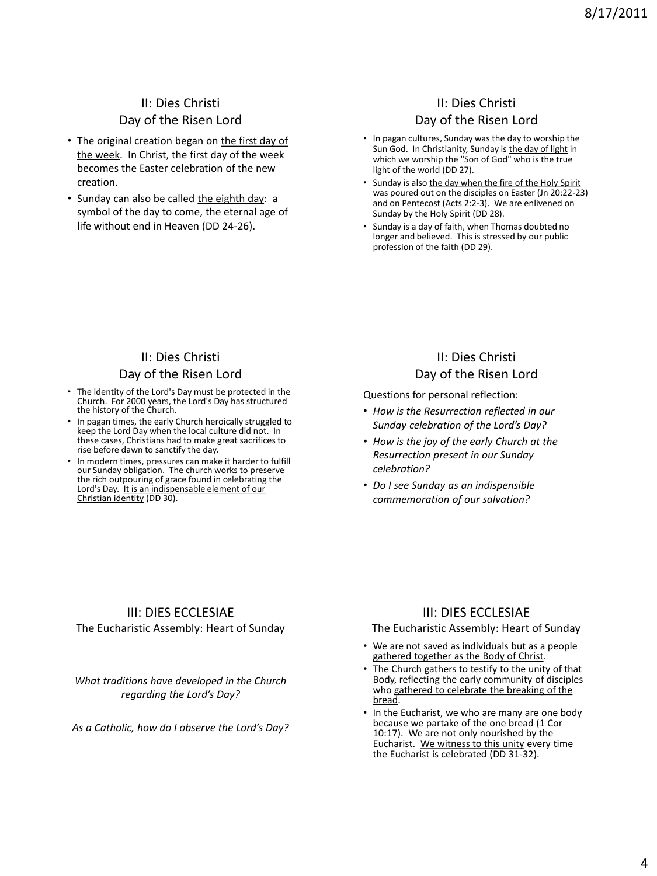## II: Dies Christi Day of the Risen Lord

- The original creation began on the first day of the week. In Christ, the first day of the week becomes the Easter celebration of the new creation.
- Sunday can also be called the eighth day: a symbol of the day to come, the eternal age of life without end in Heaven (DD 24-26).

### II: Dies Christi Day of the Risen Lord

- In pagan cultures, Sunday was the day to worship the Sun God. In Christianity, Sunday is the day of light in which we worship the "Son of God" who is the true light of the world (DD 27).
- Sunday is also the day when the fire of the Holy Spirit was poured out on the disciples on Easter (Jn 20:22-23) and on Pentecost (Acts 2:2-3). We are enlivened on Sunday by the Holy Spirit (DD 28).
- Sunday is a day of faith, when Thomas doubted no longer and believed. This is stressed by our public profession of the faith (DD 29).

### II: Dies Christi Day of the Risen Lord

- The identity of the Lord's Day must be protected in the Church. For 2000 years, the Lord's Day has structured the history of the Church.
- In pagan times, the early Church heroically struggled to keep the Lord Day when the local culture did not. In these cases, Christians had to make great sacrifices to rise before dawn to sanctify the day.
- In modern times, pressures can make it harder to fulfill our Sunday obligation. The church works to preserve the rich outpouring of grace found in celebrating the Lord's Day. It is an indispensable element of our Christian identity (DD 30).

### II: Dies Christi Day of the Risen Lord

Questions for personal reflection:

- *How is the Resurrection reflected in our Sunday celebration of the Lord's Day?*
- *How is the joy of the early Church at the Resurrection present in our Sunday celebration?*
- *Do I see Sunday as an indispensible commemoration of our salvation?*

### III: DIES ECCLESIAE

The Eucharistic Assembly: Heart of Sunday

*What traditions have developed in the Church regarding the Lord's Day?*

*As a Catholic, how do I observe the Lord's Day?*

### III: DIES ECCLESIAE

#### The Eucharistic Assembly: Heart of Sunday

- We are not saved as individuals but as a people gathered together as the Body of Christ.
- The Church gathers to testify to the unity of that Body, reflecting the early community of disciples who gathered to celebrate the breaking of the bread.
- In the Eucharist, we who are many are one body because we partake of the one bread (1 Cor 10:17). We are not only nourished by the Eucharist. We witness to this unity every time the Eucharist is celebrated (DD 31-32).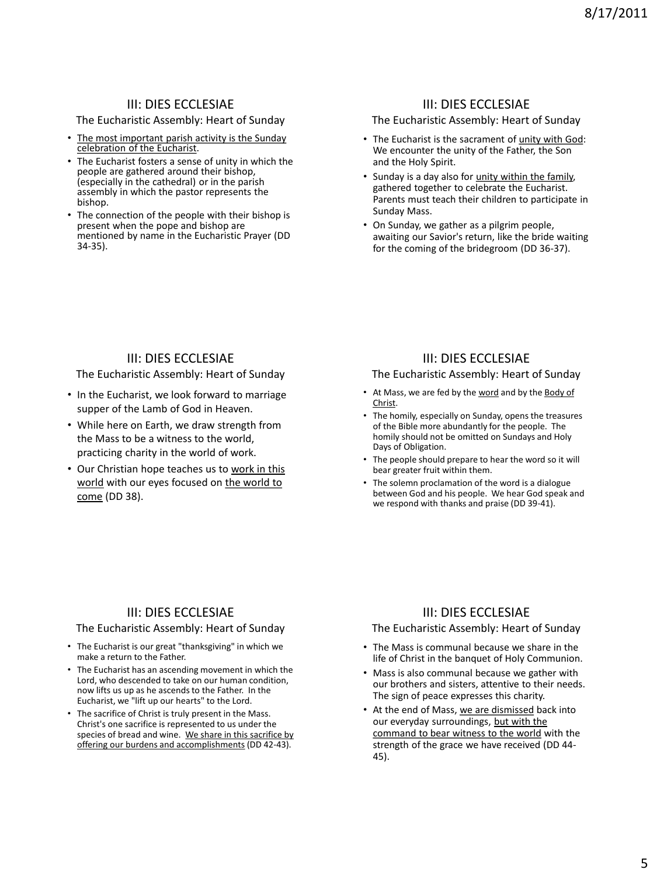### III: DIES ECCLESIAE

#### The Eucharistic Assembly: Heart of Sunday

- The most important parish activity is the Sunday celebration of the Eucharist.
- The Eucharist fosters a sense of unity in which the people are gathered around their bishop, (especially in the cathedral) or in the parish assembly in which the pastor represents the bishop.
- The connection of the people with their bishop is present when the pope and bishop are mentioned by name in the Eucharistic Prayer (DD 34-35).

#### III: DIES ECCLESIAE

#### The Eucharistic Assembly: Heart of Sunday

- The Eucharist is the sacrament of unity with God: We encounter the unity of the Father, the Son and the Holy Spirit.
- Sunday is a day also for unity within the family, gathered together to celebrate the Eucharist. Parents must teach their children to participate in Sunday Mass.
- On Sunday, we gather as a pilgrim people, awaiting our Savior's return, like the bride waiting for the coming of the bridegroom (DD 36-37).

### III: DIES ECCLESIAE

The Eucharistic Assembly: Heart of Sunday

- In the Eucharist, we look forward to marriage supper of the Lamb of God in Heaven.
- While here on Earth, we draw strength from the Mass to be a witness to the world, practicing charity in the world of work.
- Our Christian hope teaches us to work in this world with our eyes focused on the world to come (DD 38).

#### III: DIES ECCLESIAE

#### The Eucharistic Assembly: Heart of Sunday

- At Mass, we are fed by the word and by the Body of Christ.
- The homily, especially on Sunday, opens the treasures of the Bible more abundantly for the people. The homily should not be omitted on Sundays and Holy Days of Obligation.
- The people should prepare to hear the word so it will bear greater fruit within them.
- The solemn proclamation of the word is a dialogue between God and his people. We hear God speak and we respond with thanks and praise (DD 39-41).

### III: DIES ECCLESIAE

#### The Eucharistic Assembly: Heart of Sunday

- The Eucharist is our great "thanksgiving" in which we make a return to the Father.
- The Eucharist has an ascending movement in which the Lord, who descended to take on our human condition, now lifts us up as he ascends to the Father. In the Eucharist, we "lift up our hearts" to the Lord.
- The sacrifice of Christ is truly present in the Mass. Christ's one sacrifice is represented to us under the species of bread and wine. We share in this sacrifice by offering our burdens and accomplishments (DD 42-43).

### III: DIES ECCLESIAE

#### The Eucharistic Assembly: Heart of Sunday

- The Mass is communal because we share in the life of Christ in the banquet of Holy Communion.
- Mass is also communal because we gather with our brothers and sisters, attentive to their needs. The sign of peace expresses this charity.
- At the end of Mass, we are dismissed back into our everyday surroundings, but with the command to bear witness to the world with the strength of the grace we have received (DD 44- 45).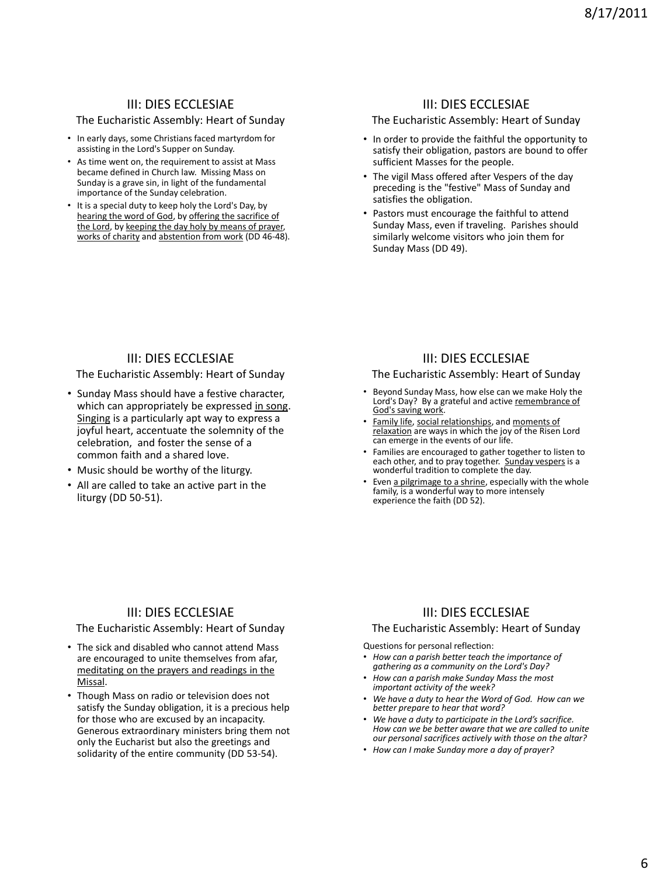### III: DIES ECCLESIAE

#### The Eucharistic Assembly: Heart of Sunday

- In early days, some Christians faced martyrdom for assisting in the Lord's Supper on Sunday.
- As time went on, the requirement to assist at Mass became defined in Church law. Missing Mass on Sunday is a grave sin, in light of the fundamental importance of the Sunday celebration.
- It is a special duty to keep holy the Lord's Day, by hearing the word of God, by offering the sacrifice of the Lord, by keeping the day holy by means of prayer, works of charity and abstention from work (DD 46-48).

#### III: DIES ECCLESIAE

#### The Eucharistic Assembly: Heart of Sunday

- In order to provide the faithful the opportunity to satisfy their obligation, pastors are bound to offer sufficient Masses for the people.
- The vigil Mass offered after Vespers of the day preceding is the "festive" Mass of Sunday and satisfies the obligation.
- Pastors must encourage the faithful to attend Sunday Mass, even if traveling. Parishes should similarly welcome visitors who join them for Sunday Mass (DD 49).

#### III: DIES ECCLESIAE

The Eucharistic Assembly: Heart of Sunday

- Sunday Mass should have a festive character, which can appropriately be expressed in song. Singing is a particularly apt way to express a joyful heart, accentuate the solemnity of the celebration, and foster the sense of a common faith and a shared love.
- Music should be worthy of the liturgy.
- All are called to take an active part in the liturgy (DD 50-51).

#### III: DIES ECCLESIAE

The Eucharistic Assembly: Heart of Sunday

- Beyond Sunday Mass, how else can we make Holy the Lord's Day? By a grateful and active remembrance of God's saving work.
- Family life, social relationships, and moments of relaxation are ways in which the joy of the Risen Lord can emerge in the events of our life.
- Families are encouraged to gather together to listen to each other, and to pray together. Sunday vespers is a<br>wonderful tradition to complete the day.
- Even <u>a pilgrimage to a shrine</u>, especially with the whole family, is a wonderful way to more intensely experience the faith (DD 52).

#### III: DIES ECCLESIAE

#### The Eucharistic Assembly: Heart of Sunday

- The sick and disabled who cannot attend Mass are encouraged to unite themselves from afar, meditating on the prayers and readings in the Missal.
- Though Mass on radio or television does not satisfy the Sunday obligation, it is a precious help for those who are excused by an incapacity. Generous extraordinary ministers bring them not only the Eucharist but also the greetings and solidarity of the entire community (DD 53-54).

### III: DIES ECCLESIAE

#### The Eucharistic Assembly: Heart of Sunday

Questions for personal reflection:

- *How can a parish better teach the importance of gathering as a community on the Lord's Day?*
- *How can a parish make Sunday Mass the most important activity of the week?*
- *We have a duty to hear the Word of God. How can we better prepare to hear that word?*
- *We have a duty to participate in the Lord's sacrifice. How can we be better aware that we are called to unite our personal sacrifices actively with those on the altar?*
- *How can I make Sunday more a day of prayer?*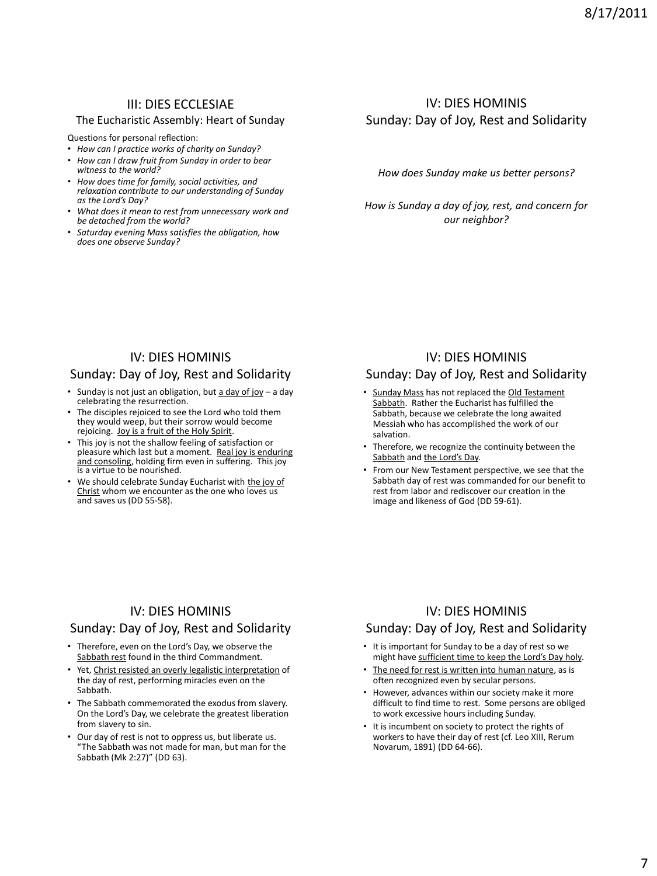### III: DIES ECCLESIAE

#### The Eucharistic Assembly: Heart of Sunday

Questions for personal reflection:

- *How can I practice works of charity on Sunday?*
- *How can I draw fruit from Sunday in order to bear witness to the world?*
- *How does time for family, social activities, and relaxation contribute to our understanding of Sunday as the Lord's Day?*
- *What does it mean to rest from unnecessary work and be detached from the world?*
- *Saturday evening Mass satisfies the obligation, how does one observe Sunday?*

# IV: DIES HOMINIS Sunday: Day of Joy, Rest and Solidarity

*How does Sunday make us better persons?*

*How is Sunday a day of joy, rest, and concern for our neighbor?*

### IV: DIES HOMINIS

#### Sunday: Day of Joy, Rest and Solidarity

- Sunday is not just an obligation, but  $\frac{1}{2}$  day of joy a day celebrating the resurrection.
- The disciples rejoiced to see the Lord who told them they would weep, but their sorrow would become rejoicing. Joy is a fruit of the Holy Spirit.
- This joy is not the shallow feeling of satisfaction or pleasure which last but a moment. Real joy is enduring and consoling, holding firm even in suffering. This joy is a virtue to be nourished.
- We should celebrate Sunday Eucharist with the joy of Christ whom we encounter as the one who loves us and saves us (DD 55-58).

### IV: DIES HOMINIS

#### Sunday: Day of Joy, Rest and Solidarity

- Sunday Mass has not replaced the Old Testament Sabbath. Rather the Eucharist has fulfilled the Sabbath, because we celebrate the long awaited Messiah who has accomplished the work of our salvation.
- Therefore, we recognize the continuity between the Sabbath and the Lord's Day.
- From our New Testament perspective, we see that the Sabbath day of rest was commanded for our benefit to rest from labor and rediscover our creation in the image and likeness of God (DD 59-61).

### IV: DIES HOMINIS

#### Sunday: Day of Joy, Rest and Solidarity

- Therefore, even on the Lord's Day, we observe the Sabbath rest found in the third Commandment.
- Yet, Christ resisted an overly legalistic interpretation of the day of rest, performing miracles even on the Sabbath.
- The Sabbath commemorated the exodus from slavery. On the Lord's Day, we celebrate the greatest liberation from slavery to sin.
- Our day of rest is not to oppress us, but liberate us. "The Sabbath was not made for man, but man for the Sabbath (Mk 2:27)" (DD 63).

### IV: DIES HOMINIS

### Sunday: Day of Joy, Rest and Solidarity

- It is important for Sunday to be a day of rest so we might have sufficient time to keep the Lord's Day holy.
- The need for rest is written into human nature, as is often recognized even by secular persons.
- However, advances within our society make it more difficult to find time to rest. Some persons are obliged to work excessive hours including Sunday.
- It is incumbent on society to protect the rights of workers to have their day of rest (cf. Leo XIII, Rerum Novarum, 1891) (DD 64-66).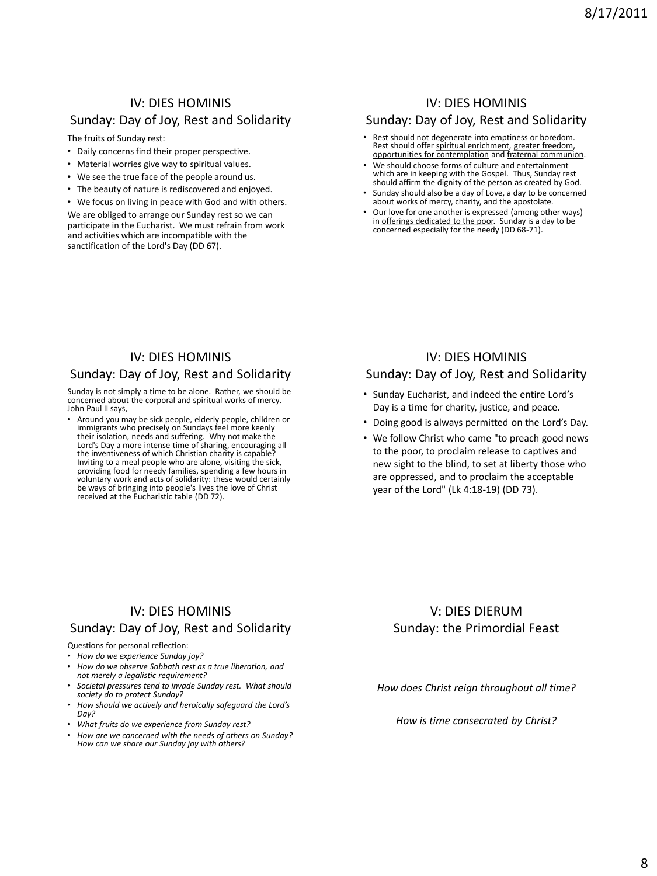### IV: DIES HOMINIS Sunday: Day of Joy, Rest and Solidarity

The fruits of Sunday rest:

- Daily concerns find their proper perspective.
- Material worries give way to spiritual values.
- We see the true face of the people around us.
- The beauty of nature is rediscovered and enjoyed.
- We focus on living in peace with God and with others.

We are obliged to arrange our Sunday rest so we can participate in the Eucharist. We must refrain from work and activities which are incompatible with the sanctification of the Lord's Day (DD 67).

### IV: DIES HOMINIS

#### Sunday: Day of Joy, Rest and Solidarity

- Rest should not degenerate into emptiness or boredom. Rest should offer spiritual enrichment, greater freedom,<br>opportunities for contemplation and fraternal communion.
- We should choose forms of culture and entertainment which are in keeping with the Gospel. Thus, Sunday rest should affirm the dignity of the person as created by God.
- Sunday should also be a day of Love, a day to be concerned about works of mercy, charity, and the apostolate.
- Our love for one another is expressed (among other ways) in offerings dedicated to the poor. Sunday is a day to be concerned especially for the needy (DD 68-71).

### IV: DIES HOMINIS

#### Sunday: Day of Joy, Rest and Solidarity

Sunday is not simply a time to be alone. Rather, we should be concerned about the corporal and spiritual works of mercy. John Paul II says,

• Around you may be sick people, elderly people, children or immigrants who precisely on Sundays feel more keenly<br>their isolation, needs and suffering. Why not make the<br>Lord's Day a more intense time of sharing, encouraging all<br>the inventiveness of which Christian charity is capabl Inviting to a meal people who are alone, visiting the sick, providing food for needy families, spending a few hours in voluntary work and acts of solidarity: these would certainly be ways of bringing into people's lives the love of Christ received at the Eucharistic table (DD 72).

### IV: DIES HOMINIS Sunday: Day of Joy, Rest and Solidarity

#### • Sunday Eucharist, and indeed the entire Lord's Day is a time for charity, justice, and peace.

- Doing good is always permitted on the Lord's Day.
- We follow Christ who came "to preach good news to the poor, to proclaim release to captives and new sight to the blind, to set at liberty those who are oppressed, and to proclaim the acceptable year of the Lord" (Lk 4:18-19) (DD 73).

### IV: DIES HOMINIS Sunday: Day of Joy, Rest and Solidarity

Questions for personal reflection:

- *How do we experience Sunday joy?*
- *How do we observe Sabbath rest as a true liberation, and not merely a legalistic requirement?*
- *Societal pressures tend to invade Sunday rest. What should society do to protect Sunday?*
- *How should we actively and heroically safeguard the Lord's Day?*
- *What fruits do we experience from Sunday rest?*
- *How are we concerned with the needs of others on Sunday? How can we share our Sunday joy with others?*

### V: DIES DIERUM Sunday: the Primordial Feast

*How does Christ reign throughout all time?*

*How is time consecrated by Christ?*